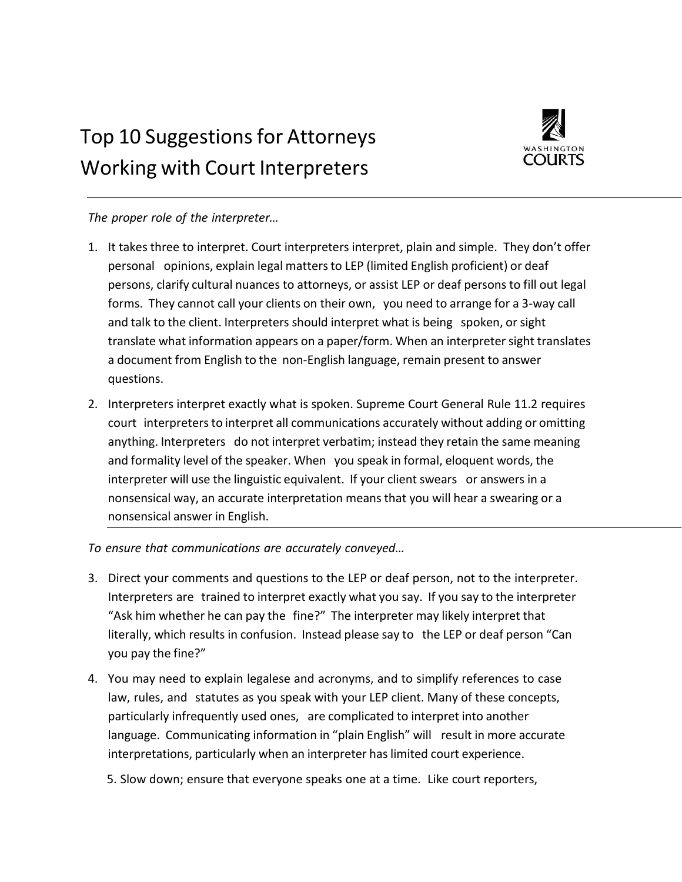## Top 10 Suggestions for Attorneys Working with Court Interpreters



## *The proper role of the interpreter…*

- 1. It takes three to interpret. Court interpreters interpret, plain and simple. They don't offer personal opinions, explain legal mattersto LEP (limited English proficient) or deaf persons, clarify cultural nuances to attorneys, or assist LEP or deaf persons to fill out legal forms. They cannot call your clients on their own, you need to arrange for a 3-way call and talk to the client. Interpreters should interpret what is being spoken, or sight translate what information appears on a paper/form. When an interpretersight translates a document from English to the non-English language, remain present to answer questions.
- 2. Interpreters interpret exactly what is spoken. Supreme Court General Rule 11.2 requires court interpretersto interpret all communications accurately without adding or omitting anything. Interpreters do not interpret verbatim; instead they retain the same meaning and formality level of the speaker. When you speak in formal, eloquent words, the interpreter will use the linguistic equivalent. If your client swears or answers in a nonsensical way, an accurate interpretation means that you will hear a swearing or a nonsensical answer in English.

*To ensure that communications are accurately conveyed…*

- 3. Direct your comments and questions to the LEP or deaf person, not to the interpreter. Interpreters are trained to interpret exactly what you say. If you say to the interpreter "Ask him whether he can pay the fine?" The interpreter may likely interpret that literally, which results in confusion. Instead please say to the LEP or deaf person "Can you pay the fine?"
- 4. You may need to explain legalese and acronyms, and to simplify references to case law, rules, and statutes as you speak with your LEP client. Many of these concepts, particularly infrequently used ones, are complicated to interpret into another language. Communicating information in "plain English" will result in more accurate interpretations, particularly when an interpreter haslimited court experience.
	- 5. Slow down; ensure that everyone speaks one at a time. Like court reporters,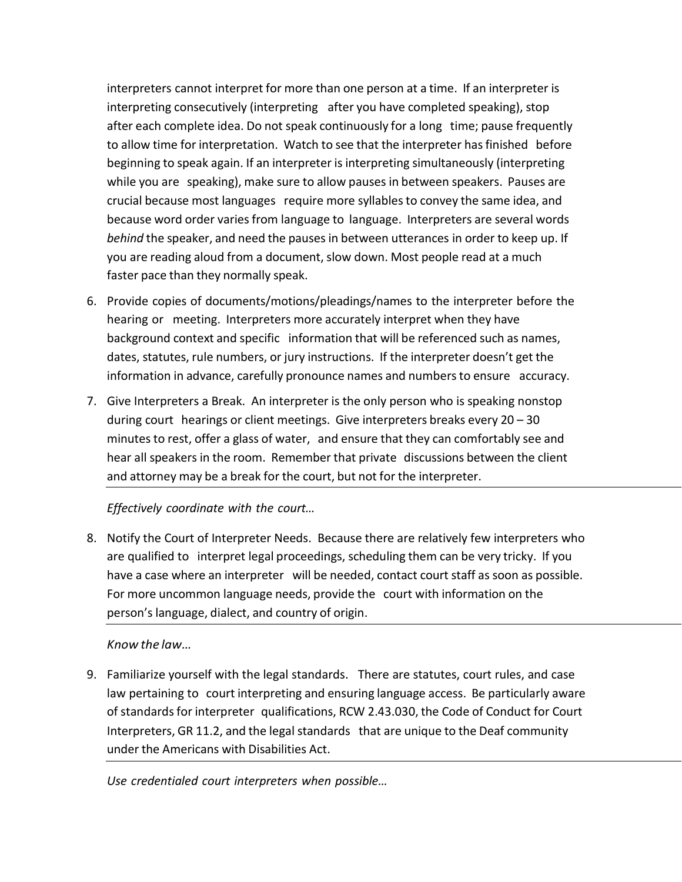interpreters cannot interpret for more than one person at a time. If an interpreter is interpreting consecutively (interpreting after you have completed speaking), stop after each complete idea. Do not speak continuously for a long time; pause frequently to allow time for interpretation. Watch to see that the interpreter has finished before beginning to speak again. If an interpreter is interpreting simultaneously (interpreting while you are speaking), make sure to allow pauses in between speakers. Pauses are crucial because most languages require more syllablesto convey the same idea, and because word order varies from language to language. Interpreters are several words *behind* the speaker, and need the pauses in between utterances in order to keep up. If you are reading aloud from a document, slow down. Most people read at a much faster pace than they normally speak.

- 6. Provide copies of documents/motions/pleadings/names to the interpreter before the hearing or meeting. Interpreters more accurately interpret when they have background context and specific information that will be referenced such as names, dates, statutes, rule numbers, or jury instructions. If the interpreter doesn't get the information in advance, carefully pronounce names and numbersto ensure accuracy.
- 7. Give Interpreters a Break. An interpreter is the only person who is speaking nonstop during court hearings or client meetings. Give interpreters breaks every 20 – 30 minutes to rest, offer a glass of water, and ensure that they can comfortably see and hear all speakers in the room. Remember that private discussions between the client and attorney may be a break for the court, but not for the interpreter.

## *Effectively coordinate with the court…*

8. Notify the Court of Interpreter Needs. Because there are relatively few interpreters who are qualified to interpret legal proceedings, scheduling them can be very tricky. If you have a case where an interpreter will be needed, contact court staff as soon as possible. For more uncommon language needs, provide the court with information on the person's language, dialect, and country of origin.

## *Know the law…*

9. Familiarize yourself with the legal standards. There are statutes, court rules, and case law pertaining to court interpreting and ensuring language access. Be particularly aware of standards for interpreter qualifications, RCW 2.43.030, the Code of Conduct for Court Interpreters, GR 11.2, and the legal standards that are unique to the Deaf community under the Americans with Disabilities Act.

*Use credentialed court interpreters when possible…*